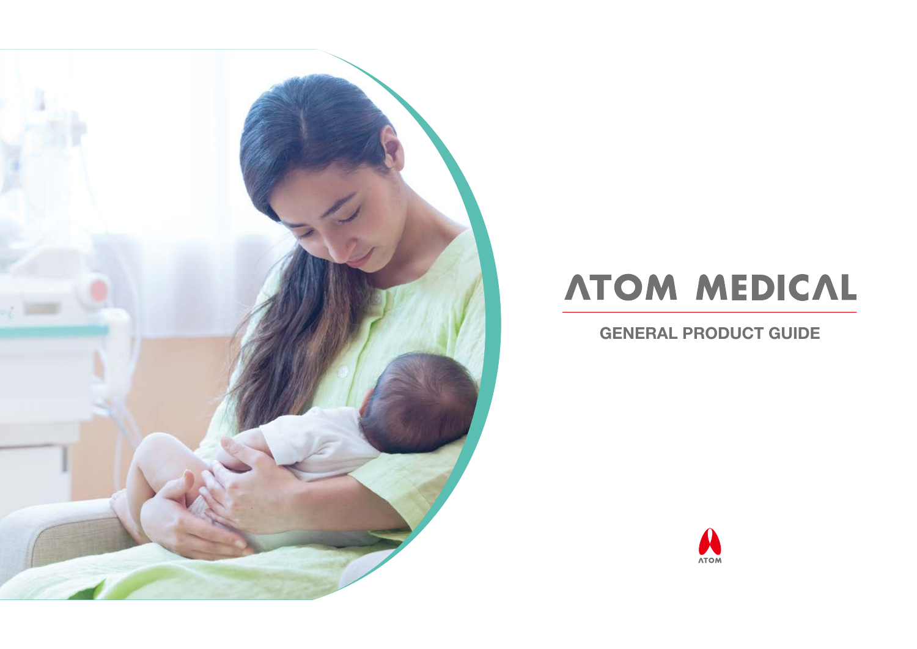

## **ATOM MEDICAL**

GENERAL PRODUCT GUIDE

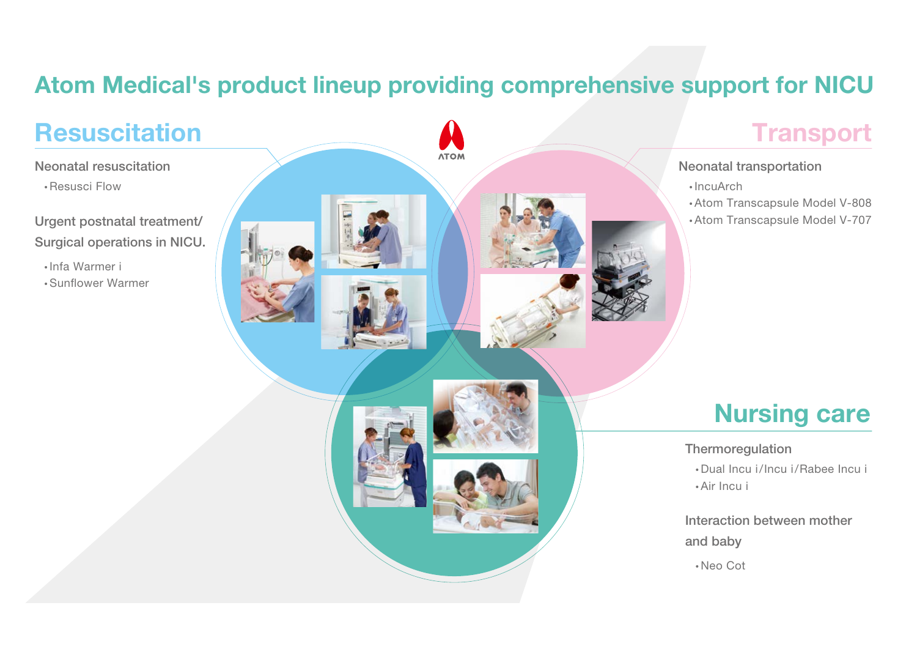## Atom Medical's product lineup providing comprehensive support for NICU

Neonatal resuscitation

•Resusci Flow

Urgent postnatal treatment/ Surgical operations in NICU.

- Infa Warmer i
- Sun fower Warmer

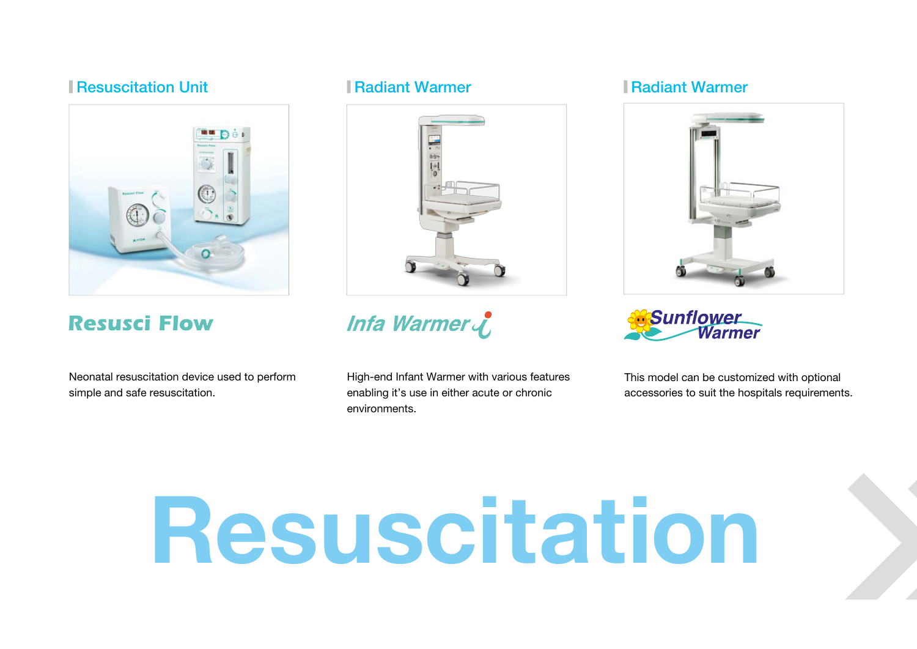### Resuscitation Unit  $\blacksquare$  Radiant Warmer  $\blacksquare$  Radiant Warmer Incubator Incubator Incubator Incubator Incubator Incubator  $\blacksquare$



### **Resusci Flow**

Neonatal resuscitation device used to perform simple and safe resuscitation.



## Infa Warmer

High-end Infant Warmer with various features enabling it's use in either acute or chronic environments.



**Sunflower**<br>Warmer

This model can be customized with optional accessories to suit the hospitals requirements.

# Resuscitation

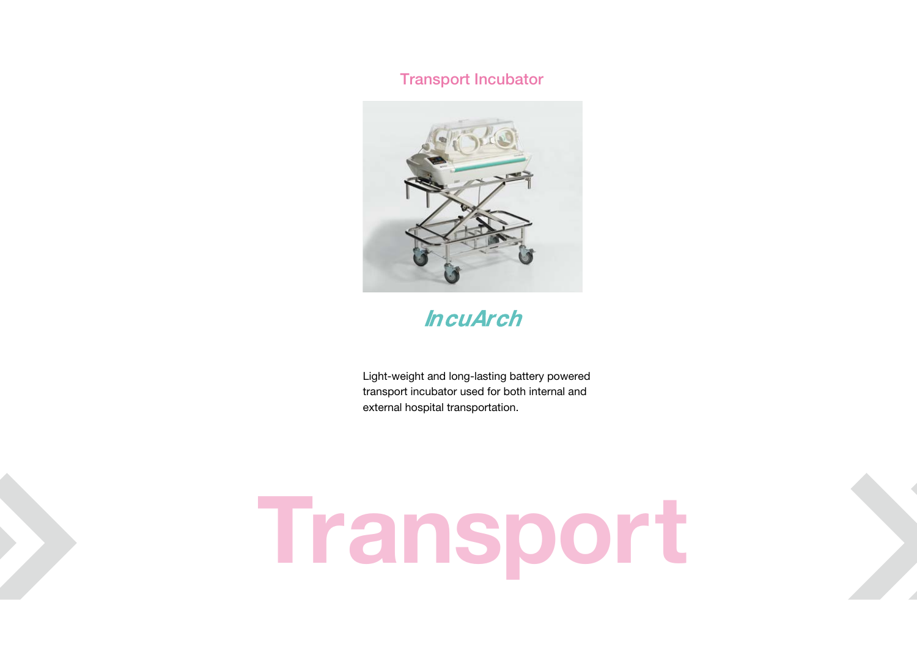### Radiant Warmer Radiant Warmer Radiant Warmer Radiant Warmer Transport Incubator Results in the Unit Incubator Bassinet Incubator Radiant Incubator Radiant Incubator Bassinet Incubator Bassinet Incubator Bassinet Incubator



## **IncuArch**

Light-weight and long-lasting battery powered transport incubator used for both internal and external hospital transportation.

# Transport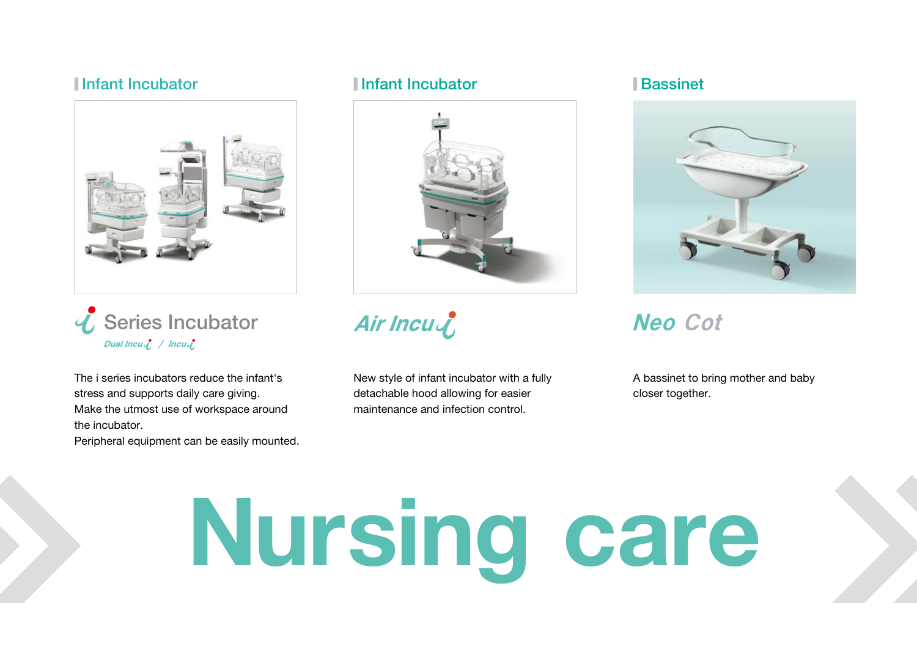



The i series incubators reduce the infant's stress and supports daily care giving. Make the utmost use of workspace around the incubator.

Peripheral equipment can be easily mounted.

### <code>Infant</code> Incubator  $\blacksquare$  Infant Incubator  $\blacksquare$  Bassinet **Infant Incubator**



Air Incu

New style of infant incubator with a fully detachable hood allowing for easier maintenance and infection control.



## **Neo Cot**

A bassinet to bring mother and baby closer together.

# **Nursi** ng care